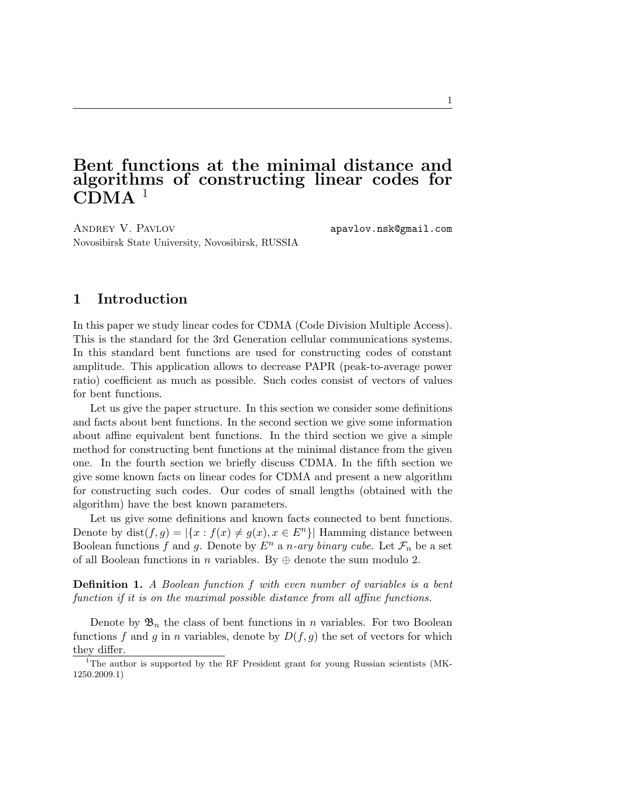# Bent functions at the minimal distance and algorithms of constructing linear codes for  $CDMA$ <sup>1</sup>

ANDREY V. PAVLOV apavlov.nsk@gmail.com Novosibirsk State University, Novosibirsk, RUSSIA

## 1 Introduction

In this paper we study linear codes for CDMA (Code Division Multiple Access). This is the standard for the 3rd Generation cellular communications systems. In this standard bent functions are used for constructing codes of constant amplitude. This application allows to decrease PAPR (peak-to-average power ratio) coefficient as much as possible. Such codes consist of vectors of values for bent functions.

Let us give the paper structure. In this section we consider some definitions and facts about bent functions. In the second section we give some information about affine equivalent bent functions. In the third section we give a simple method for constructing bent functions at the minimal distance from the given one. In the fourth section we briefly discuss CDMA. In the fifth section we give some known facts on linear codes for CDMA and present a new algorithm for constructing such codes. Our codes of small lengths (obtained with the algorithm) have the best known parameters.

Let us give some definitions and known facts connected to bent functions. Denote by dist $(f, g) = |\{x : f(x) \neq g(x), x \in E^n\}|$  Hamming distance between Boolean functions f and g. Denote by  $E^n$  a n-ary binary cube. Let  $\mathcal{F}_n$  be a set of all Boolean functions in n variables. By  $\oplus$  denote the sum modulo 2.

Definition 1. A Boolean function f with even number of variables is a bent function if it is on the maximal possible distance from all affine functions.

Denote by  $\mathfrak{B}_n$  the class of bent functions in n variables. For two Boolean functions f and g in n variables, denote by  $D(f, g)$  the set of vectors for which they differ.

<sup>&</sup>lt;sup>1</sup>The author is supported by the RF President grant for young Russian scientists (MK-1250.2009.1)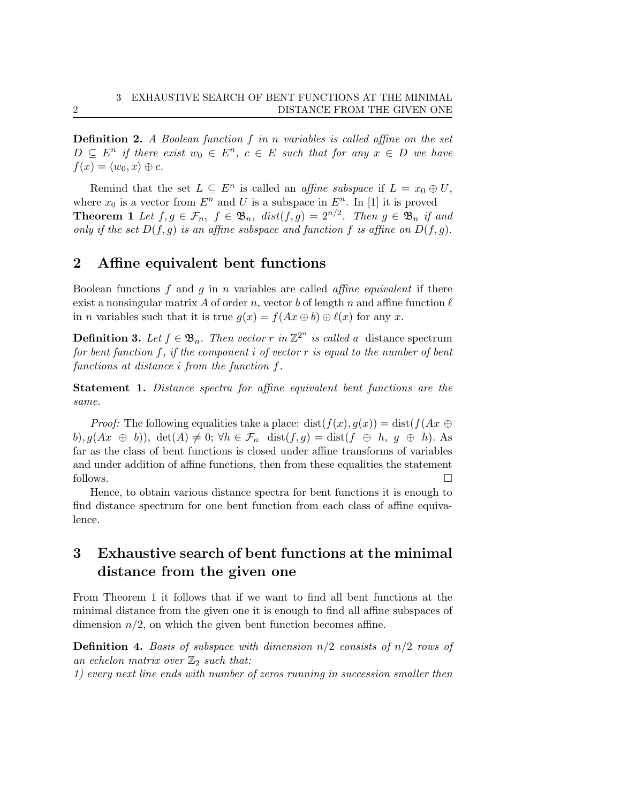**Definition 2.** A Boolean function f in n variables is called affine on the set  $D \subseteq E^n$  if there exist  $w_0 \in E^n$ ,  $c \in E$  such that for any  $x \in D$  we have  $f(x) = \langle w_0, x \rangle \oplus c.$ 

Remind that the set  $L \subseteq E^n$  is called an *affine subspace* if  $L = x_0 \oplus U$ , where  $x_0$  is a vector from  $E^n$  and U is a subspace in  $E^n$ . In [1] it is proved **Theorem 1** Let  $f, g \in \mathcal{F}_n$ ,  $f \in \mathfrak{B}_n$ ,  $dist(f, g) = 2^{n/2}$ . Then  $g \in \mathfrak{B}_n$  if and only if the set  $D(f, g)$  is an affine subspace and function f is affine on  $D(f, g)$ .

## 2 Affine equivalent bent functions

Boolean functions  $f$  and  $g$  in  $n$  variables are called *affine equivalent* if there exist a nonsingular matrix A of order n, vector b of length n and affine function  $\ell$ in *n* variables such that it is true  $g(x) = f(Ax \oplus b) \oplus \ell(x)$  for any x.

**Definition 3.** Let  $f \in \mathfrak{B}_n$ . Then vector r in  $\mathbb{Z}^{2^n}$  is called a distance spectrum for bent function f, if the component i of vector r is equal to the number of bent functions at distance i from the function f.

Statement 1. Distance spectra for affine equivalent bent functions are the same.

*Proof:* The following equalities take a place: dist $(f(x), g(x)) = \text{dist}(f(Ax \oplus$ b),  $g(Ax \oplus b)$ ,  $det(A) \neq 0$ ;  $\forall h \in \mathcal{F}_n$   $dist(f, g) = dist(f \oplus h, g \oplus h)$ . As far as the class of bent functions is closed under affine transforms of variables and under addition of affine functions, then from these equalities the statement follows.  $\Box$ 

Hence, to obtain various distance spectra for bent functions it is enough to find distance spectrum for one bent function from each class of affine equivalence.

## 3 Exhaustive search of bent functions at the minimal distance from the given one

From Theorem 1 it follows that if we want to find all bent functions at the minimal distance from the given one it is enough to find all affine subspaces of dimension  $n/2$ , on which the given bent function becomes affine.

**Definition 4.** Basis of subspace with dimension  $n/2$  consists of  $n/2$  rows of an echelon matrix over  $\mathbb{Z}_2$  such that:

1) every next line ends with number of zeros running in succession smaller then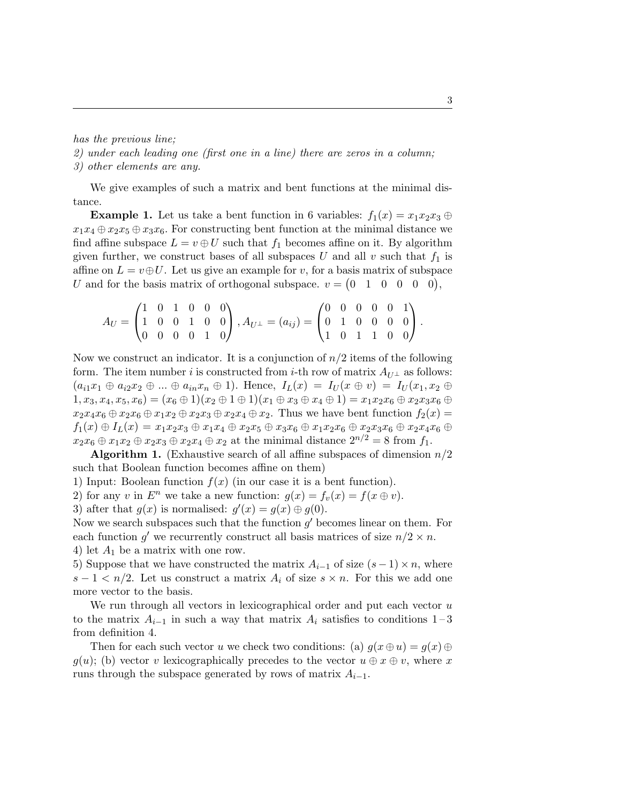### has the previous line;

2) under each leading one (first one in a line) there are zeros in a column; 3) other elements are any.

We give examples of such a matrix and bent functions at the minimal distance.

**Example 1.** Let us take a bent function in 6 variables:  $f_1(x) = x_1x_2x_3 \oplus$  $x_1x_4 \oplus x_2x_5 \oplus x_3x_6$ . For constructing bent function at the minimal distance we find affine subspace  $L = v \oplus U$  such that  $f_1$  becomes affine on it. By algorithm given further, we construct bases of all subspaces U and all v such that  $f_1$  is affine on  $L = v \oplus U$ . Let us give an example for v, for a basis matrix of subspace U and for the basis matrix of orthogonal subspace.  $v = \begin{pmatrix} 0 & 1 & 0 & 0 & 0 \end{pmatrix}$ ,

$$
A_U = \begin{pmatrix} 1 & 0 & 1 & 0 & 0 & 0 \\ 1 & 0 & 0 & 1 & 0 & 0 \\ 0 & 0 & 0 & 0 & 1 & 0 \end{pmatrix}, A_{U^{\perp}} = (a_{ij}) = \begin{pmatrix} 0 & 0 & 0 & 0 & 0 & 1 \\ 0 & 1 & 0 & 0 & 0 & 0 \\ 1 & 0 & 1 & 1 & 0 & 0 \end{pmatrix}.
$$

Now we construct an indicator. It is a conjunction of  $n/2$  items of the following form. The item number i is constructed from i-th row of matrix  $A_{U^{\perp}}$  as follows:  $(a_{i1}x_1 \oplus a_{i2}x_2 \oplus ... \oplus a_{in}x_n \oplus 1)$ . Hence,  $I_L(x) = I_U(x \oplus v) = I_U(x_1, x_2 \oplus ... \oplus x_n)$  $(1, x_3, x_4, x_5, x_6) = (x_6 \oplus 1)(x_2 \oplus 1 \oplus 1)(x_1 \oplus x_3 \oplus x_4 \oplus 1) = x_1x_2x_6 \oplus x_2x_3x_6 \oplus x_4x_6$  $x_2x_4x_6 \oplus x_2x_6 \oplus x_1x_2 \oplus x_2x_3 \oplus x_2x_4 \oplus x_2$ . Thus we have bent function  $f_2(x) =$  $f_1(x) \oplus I_L(x) = x_1x_2x_3 \oplus x_1x_4 \oplus x_2x_5 \oplus x_3x_6 \oplus x_1x_2x_6 \oplus x_2x_3x_6 \oplus x_2x_4x_6 \oplus x_4x_6$  $x_2x_6 \oplus x_1x_2 \oplus x_2x_3 \oplus x_2x_4 \oplus x_2$  at the minimal distance  $2^{n/2} = 8$  from  $f_1$ .

**Algorithm 1.** (Exhaustive search of all affine subspaces of dimension  $n/2$ such that Boolean function becomes affine on them)

1) Input: Boolean function  $f(x)$  (in our case it is a bent function).

2) for any v in  $E^n$  we take a new function:  $g(x) = f_v(x) = f(x \oplus v)$ .

3) after that  $g(x)$  is normalised:  $g'(x) = g(x) \oplus g(0)$ .

Now we search subspaces such that the function  $g'$  becomes linear on them. For each function g' we recurrently construct all basis matrices of size  $n/2 \times n$ . 4) let  $A_1$  be a matrix with one row.

5) Suppose that we have constructed the matrix  $A_{i-1}$  of size  $(s-1) \times n$ , where  $s-1 < n/2$ . Let us construct a matrix  $A_i$  of size  $s \times n$ . For this we add one more vector to the basis.

We run through all vectors in lexicographical order and put each vector  $u$ to the matrix  $A_{i-1}$  in such a way that matrix  $A_i$  satisfies to conditions 1 – 3 from definition 4.

Then for each such vector u we check two conditions: (a)  $g(x \oplus u) = g(x) \oplus$  $g(u)$ ; (b) vector v lexicographically precedes to the vector  $u \oplus x \oplus v$ , where x runs through the subspace generated by rows of matrix  $A_{i-1}$ .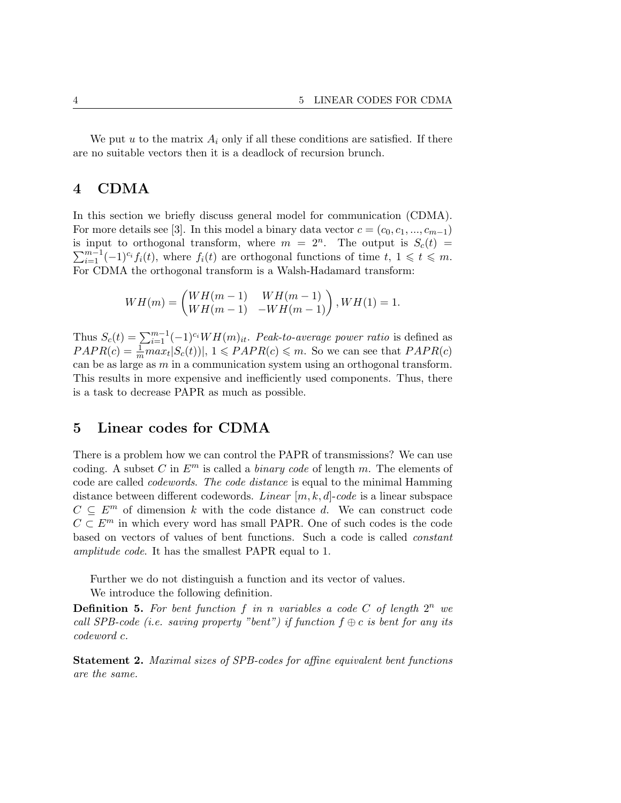We put u to the matrix  $A_i$  only if all these conditions are satisfied. If there are no suitable vectors then it is a deadlock of recursion brunch.

### 4 CDMA

In this section we briefly discuss general model for communication (CDMA). For more details see [3]. In this model a binary data vector  $c = (c_0, c_1, ..., c_{m-1})$ is input to orthogonal transform, where  $m = 2^n$ . The output is  $S_c(t) =$  $\sum_{i=1}^{m-1} (-1)^{c_i} f_i(t)$ , where  $f_i(t)$  are orthogonal functions of time  $t, 1 \leqslant t \leqslant m$ . For CDMA the orthogonal transform is a Walsh-Hadamard transform:

$$
WH(m) = \begin{pmatrix} WH(m-1) & WH(m-1) \\ WH(m-1) & -WH(m-1) \end{pmatrix}, WH(1) = 1.
$$

Thus  $S_c(t) = \sum_{i=1}^{m-1} (-1)^{c_i} WH(m)_{it}$ . Peak-to-average power ratio is defined as  $PAPR(c) = \frac{1}{m} max_t |S_c(t)|, 1 \leqslant PAPR(c) \leqslant m$ . So we can see that  $PAPR(c)$ can be as large as  $m$  in a communication system using an orthogonal transform. This results in more expensive and inefficiently used components. Thus, there is a task to decrease PAPR as much as possible.

### 5 Linear codes for CDMA

There is a problem how we can control the PAPR of transmissions? We can use coding. A subset C in  $E^m$  is called a *binary code* of length m. The elements of code are called codewords. The code distance is equal to the minimal Hamming distance between different codewords. Linear  $[m, k, d]$ -code is a linear subspace  $C \subseteq E<sup>m</sup>$  of dimension k with the code distance d. We can construct code  $C \subset E<sup>m</sup>$  in which every word has small PAPR. One of such codes is the code based on vectors of values of bent functions. Such a code is called constant amplitude code. It has the smallest PAPR equal to 1.

Further we do not distinguish a function and its vector of values.

We introduce the following definition.

**Definition 5.** For bent function f in n variables a code C of length  $2^n$  we call SPB-code (i.e. saving property "bent") if function  $f \oplus c$  is bent for any its codeword c.

Statement 2. Maximal sizes of SPB-codes for affine equivalent bent functions are the same.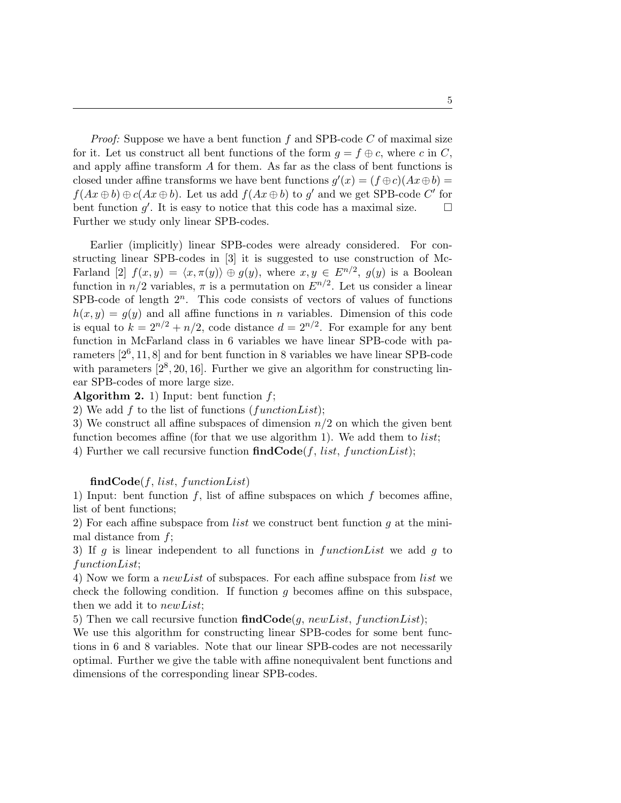*Proof:* Suppose we have a bent function  $f$  and SPB-code  $C$  of maximal size for it. Let us construct all bent functions of the form  $g = f \oplus c$ , where c in C, and apply affine transform A for them. As far as the class of bent functions is closed under affine transforms we have bent functions  $g'(x) = (f \oplus c)(Ax \oplus b) =$  $f(Ax \oplus b) \oplus c(Ax \oplus b)$ . Let us add  $f(Ax \oplus b)$  to g' and we get SPB-code C' for bent function  $g'$ . It is easy to notice that this code has a maximal size.  $\Box$ Further we study only linear SPB-codes.

Earlier (implicitly) linear SPB-codes were already considered. For constructing linear SPB-codes in [3] it is suggested to use construction of Mc-Farland [2]  $f(x, y) = \langle x, \pi(y) \rangle \oplus g(y)$ , where  $x, y \in E^{n/2}$ ,  $g(y)$  is a Boolean function in  $n/2$  variables,  $\pi$  is a permutation on  $E^{n/2}$ . Let us consider a linear SPB-code of length  $2^n$ . This code consists of vectors of values of functions  $h(x, y) = q(y)$  and all affine functions in *n* variables. Dimension of this code is equal to  $k = 2^{n/2} + n/2$ , code distance  $d = 2^{n/2}$ . For example for any bent function in McFarland class in 6 variables we have linear SPB-code with parameters  $[2^6, 11, 8]$  and for bent function in 8 variables we have linear SPB-code with parameters  $[2^8, 20, 16]$ . Further we give an algorithm for constructing linear SPB-codes of more large size.

**Algorithm 2.** 1) Input: bent function  $f$ ;

2) We add  $f$  to the list of functions (functionList);

3) We construct all affine subspaces of dimension  $n/2$  on which the given bent function becomes affine (for that we use algorithm 1). We add them to *list*; 4) Further we call recursive function  $findCode(f, list, functionList);$ 

#### $findCode(f, list, functionList)$

1) Input: bent function  $f$ , list of affine subspaces on which  $f$  becomes affine, list of bent functions;

2) For each affine subspace from *list* we construct bent function  $q$  at the minimal distance from  $f$ ;

3) If g is linear independent to all functions in  $functionList$  we add g to functionList;

4) Now we form a newList of subspaces. For each affine subspace from list we check the following condition. If function  $g$  becomes affine on this subspace, then we add it to *newList*;

5) Then we call recursive function  $findCode(g, newList, functionList);$ 

We use this algorithm for constructing linear SPB-codes for some bent functions in 6 and 8 variables. Note that our linear SPB-codes are not necessarily optimal. Further we give the table with affine nonequivalent bent functions and dimensions of the corresponding linear SPB-codes.